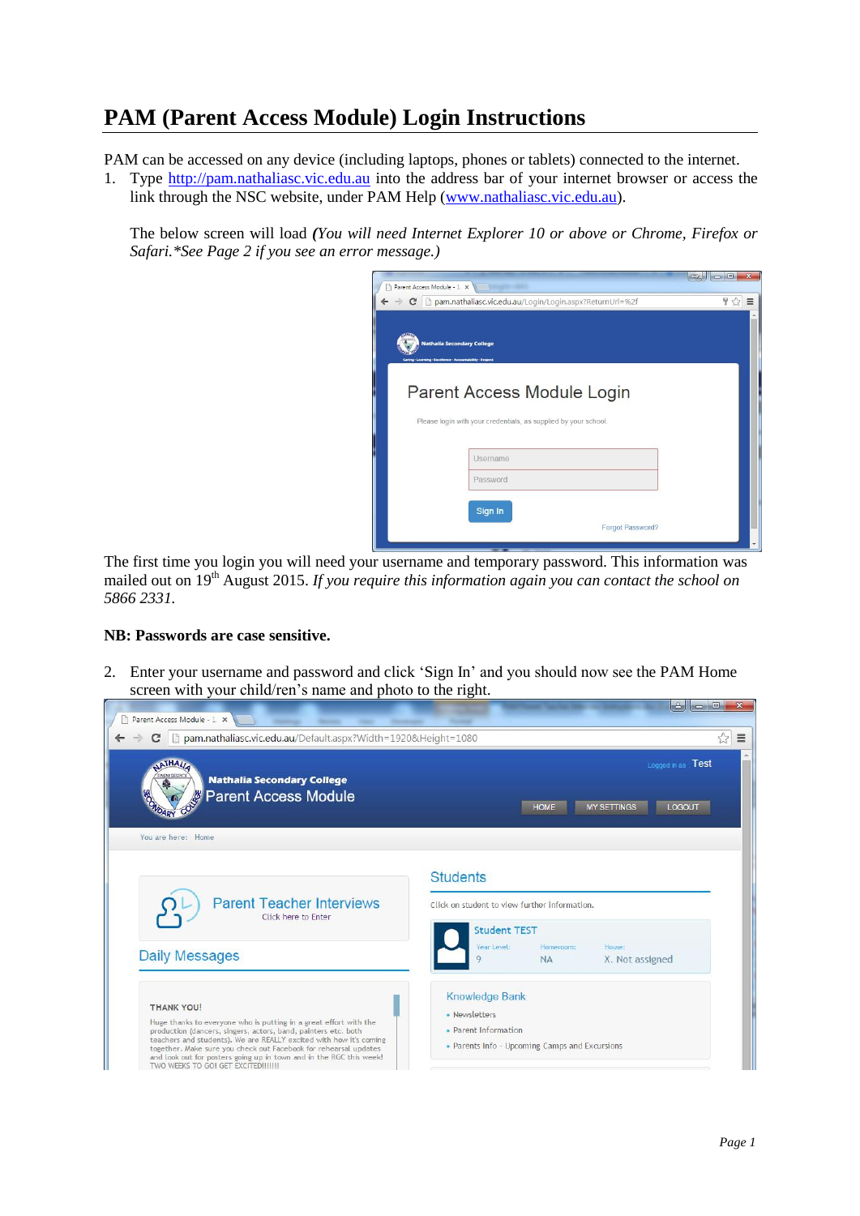## **PAM (Parent Access Module) Login Instructions**

PAM can be accessed on any device (including laptops, phones or tablets) connected to the internet.

1. Type [http://pam.nathaliasc.vic.edu.au](http://pam.nathaliasc.vic.edu.au/) into the address bar of your internet browser or access the link through the NSC website, under PAM Help [\(www.nathaliasc.vic.edu.au\)](http://www.nathaliasc.vic.edu.au/).

The below screen will load *(You will need Internet Explorer 10 or above or Chrome, Firefox or Safari.\*See Page 2 if you see an error message.)*

| Parent Access Module - 1 x                                |                                                                                               | $\mathbf{x}$<br>$\Box$ |
|-----------------------------------------------------------|-----------------------------------------------------------------------------------------------|------------------------|
|                                                           | → C D pam.nathaliasc.vic.edu.au/Login/Login.aspx?ReturnUrl=%2f                                | ₩ ☆<br>$\equiv$        |
| Caring - Learning - Excelience - Accountability - Respect | <b>Nathalia Secondary College</b>                                                             |                        |
|                                                           | Parent Access Module Login<br>Please login with your credentials, as supplied by your school. |                        |
|                                                           | Username<br>Password                                                                          |                        |
|                                                           |                                                                                               |                        |

The first time you login you will need your username and temporary password. This information was mailed out on 19<sup>th</sup> August 2015. If you require this information again you can contact the school on *5866 2331.*

## **NB: Passwords are case sensitive.**

2. Enter your username and password and click 'Sign In' and you should now see the PAM Home screen with your child/ren's name and photo to the right.

| D pam.nathaliasc.vic.edu.au/Default.aspx?Width=1920&Height=1080<br>$\mathbf{C}$<br><b>ATHAI</b><br><b>Nathalia Secondary College</b>                                                                                           | ☆<br>Logged in as : Test                                                                  |  |
|--------------------------------------------------------------------------------------------------------------------------------------------------------------------------------------------------------------------------------|-------------------------------------------------------------------------------------------|--|
| <b>Parent Access Module</b><br>LOGOUT<br><b>MY SETTINGS</b><br><b>HOME</b><br>You are here: Home                                                                                                                               |                                                                                           |  |
| <b>Parent Teacher Interviews</b>                                                                                                                                                                                               | <b>Students</b><br>Click on student to view further information.                          |  |
| Click here to Enter<br><b>Daily Messages</b>                                                                                                                                                                                   | <b>Student TEST</b><br>Year Level:<br>Homeroom:<br>House:<br>X. Not assigned<br><b>NA</b> |  |
| <b>THANK YOU!</b><br>Huge thanks to everyone who is putting in a great effort with the<br>production (dancers, singers, actors, band, painters etc. both<br>teachers and students). We are REALLY excited with how it's coming | <b>Knowledge Bank</b><br>· Newsletters<br>· Parent Information                            |  |